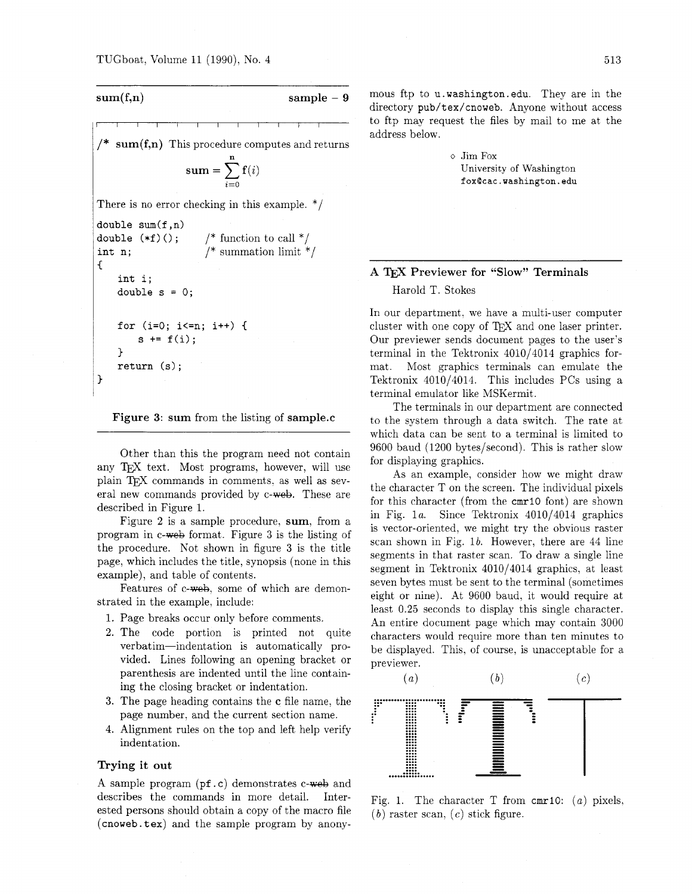$$
\overbrace{\text{sum}(f,n)} \qquad \qquad \text{sample - 9}
$$

 $sum(f,n)$  This procedure computes and returns  $\textbf{sum} = \sum_{i=1}^{n} \mathbf{f}(i)$ There is no error checking in this example. \*/ **double sum(f ,n) double**  $(*f)()$ **;** /\* function to call \*/<br>int n; /\* summation limit \*

```
int n; /* summation limit */ 
\mathcal{L}int i; 
    double s = 0; 
    for (i=O; i<=n; i++) C 
         s := f(i);
    1 
    return (s); 
1
```
Figure 3: sum from the listing of sample.c

Other than this the program need not contain any T<sub>F</sub>X text. Most programs, however, will use plain TFX commands in comments, as well as several new commands provided by c-web. These are described in Figure *1.* 

Figure 2 is a sample procedure, sum, from a program in c-web format. Figure *3* is the listing of the procedure. Not shown in figure **3** is the title page, which includes the title, synopsis (none in this example), and table of contents.

Features of c-web, some of which are demonstrated in the example, include:

- 1. Page breaks occur only before comments.
- *2.* The code portion is printed not quite verbatim-indentation is automatically provided. Lines following an opening bracket or parenthesis are indented until the line containing the closing bracket or indentation.
- *3.* The page heading contains the c file name, the page number, and the current section name.
- *4.* Alignment rules on the top and left help verify indentation.

### Trying it out

A sample program (pf.c) demonstrates c-web and describes the commands in more detail. Interested persons should obtain a copy of the macro file **(cnoweb. tex)** and the sample program by anonymous ftp to **u.washington. edu.** They are in the directory **pub/tex/cnoweb.** Anyone without access to ftp may request the files by mail to me at the address below.

> $\diamond$  Jim Fox University of Washington **foxQcac.washington.edu**

# A Previewer for "Slow" Terminals

## Harold T. Stokes

In our department, we have a multi-user computer cluster with one copy of T<sub>E</sub>X and one laser printer. Our previewer sends document pages to the user's terminal in the Tektronix *4010/4014* graphics format. Most graphics terminals can emulate the Tektronix *4010/4014.* This includes PCs using a terminal emulator like MSKermit.

The terminals in our department are connected to the system through a data switch. The rate at which data can be sent to a terminal is limited to *9600* baud *(1200* bytes/second). This is rather slow for displaying graphics.

As an example, consider how we might draw the character T on the screen. The individual pixels for this character (from the **cmrl0** font) are shown in Fig. *la.* Since Tektronix *4010/4014* graphics is vector-oriented, we might try the obvious raster scan shown in Fig. *lb.* However, there are *44* line segments in that raster scan. To draw a single line segment in Tektronix *4010/4014* graphics, at least seven bytes must be sent to the terminal (sometimes eight or nine). At *9600* baud, it would require at least *0.25* seconds to display this single character. An entire document page which may contain *3000*  characters would require more than ten minutes to be displayed. This, of course, is unacceptable for a previewer.



Fig. *1.* The character T from **cmri0:** *(a)* pixels,  $(b)$  raster scan,  $(c)$  stick figure.